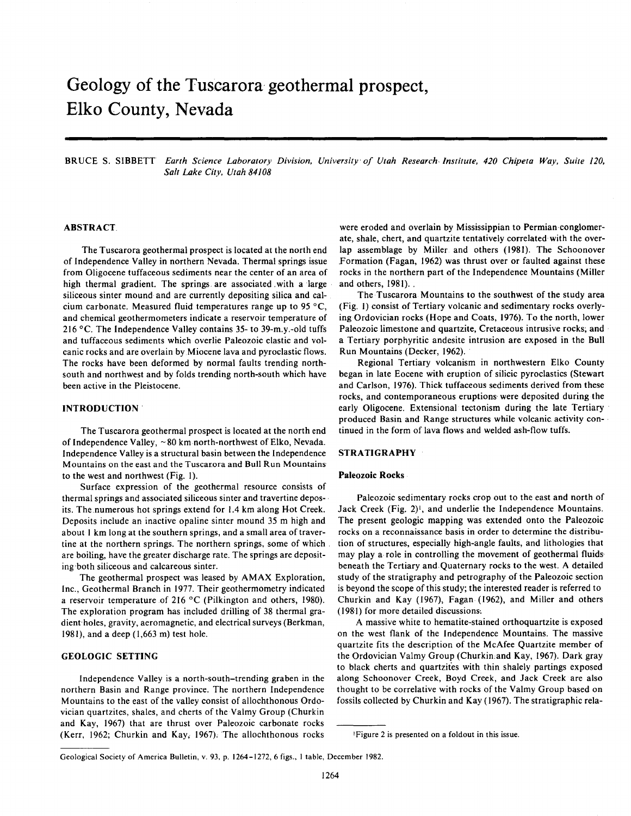# **Geology of the Tusearora geothermal prospect, Elko County, Nevada**

BRUCE S. SIBBETT *Earth Science Laboratory Division, University of Utah Research Institute, 420 Chipeta Way, Suite 120, Salt Lake City, Utah 84108* 

#### **ABSTRACT**

The Tuscarora geothermal prospect is located at the north end of Independence Valley in northern Nevada. Thermal springs issue from Oligocene tuffaceous sediments near the center of an area of high thermal gradient. The springs, are associated with a large siliceous sinter mound and are currently depositing silica and calcium carbonate. Measured fluid temperatures range up to 95 °C, and chemical geothermometers indicate a reservoir temperature of 216 °C. The Independence Valley contains 35- to 39-m.y.-old tuffs and tuffaceous sediments which overlie Paleozoic clastic and volcanic rocks and are overlain by Miocene lava and pyroclastic flows. The rocks have been deformed by normal faults trending northsouth and northwest and by folds trending north-south which have been active in the Pleistocene.

#### **INTRODUCTION**

The Tuscarora geothermal prospect is located at the north end of Independence Valley, ~80 km north-northwest of Elko, Nevada. Independence Valley is a structural basin between the Independence Mountains on the east and the Tusearora and Bull Run Mountains to the west and northwest (Fig. 1).

Surface expression of the geothermal resource consists of thermal springs and associated siliceous sinter and travertine deposits. The.numerous hot springs extend for 1.4 km along Hot Creek. Deposits include an inactive opaline sinter mound 35 m high and about 1 km long at the southern springs, and a small area of travertine at the northern springs. The northern springs, some of which are boiling, have the greater discharge rate. The springs are depositing both siliceous and calcareous sinter.

The geothermal prospect was leased by AMAX Exploration, Inc., Geothermal Branch in 1977. Their geothermometry indicated a reservoir temperature of 216 °C (Pilkington and others, 1980). The exploration program has included drilling of 38 thermal gradient holes, gravity, aeromagnetic, and electrical surveys (Berkman, 1981), and a deep (1,663 m) test hole.

#### **GEOLOGIC SETTING**

Independence Valley is a north-south-trending graben in the northern Basin and Range province. The northern Independence Mountains to the east of the valley consist of allochthonous Ordovician quartzites, shales, and cherts of the Valmy Group (Churkin and Kay, 1967) that are thrust over Paleozoic carbonate rocks (Kerr, 1962; Churkin and Kay, 1967). The allochthonous rocks

were eroded and overlain by Mississippian to Permian conglomerate, shale, chert, and quartzite tentatively correlated with the overlap assemblage by Miller and others (1981). The Schoonover Formation (Fagan, 1962) was thrust over or faulted against these rocks in the northern part of the Independence Mountains (Miller and others, 1981). .

The Tuscarora Mountains to the southwest of the study area (Fig. 1) consist of Tertiary volcanic and sedimentary rocks overlying Ordovician rocks (Hope and Coats, 1976). To the north, lower Paleozoic limestone and quartzite, Cretaceous intrusive rocks, and a Tertiary porphyritic andesite intrusion are exposed in the Bull Run Mountains (Decker, 1962).

Regional Tertiary volcanism in northwestern Elko County began in late Eocene with eruption of silicic pyroclastics (Stewart and Carlson, 1976). Thick tuffaceous sediments derived from these rocks, and contemporaneous eruptions were deposited during the early Oligocene. Extensional tectonism during the late Tertiary produced Basin and Range structures while volcanic activity continued in the form of lava flows and welded ash-flow tuffs.

## **STRATIGRAPHY**

#### **Paleozoic Rocks**

Paleozoic sedimentary rocks crop out to the east and north of Jack Creek (Fig. 2)', and underlie the Independence Mountains. The present geologic mapping was extended onto the Paleozoic rocks on a reconnaissance basis in order to determine the distribution of structures, especially high-angle faults, and lithologies that may play a role in controlling the movement of geothermal fluids beneath the Tertiary and Quaternary rocks to the west. A detailed study of the stratigraphy and petrography of the Paleozoic section is beyond the scope of this study; the interested reader is referred to Churkin and Kay (1967), Fagan (1962), and Miller and others (1981) for more detailed discussions-.

A massive white to hematite-stained orthoquartzite is exposed on the west flank of the Independence Mountains. The massive quartzite fits the description of the McAfee Quartzite member of the Ordovician Valmy Group (Churkin. and Kay, 1967). Dark gray to black cherts and quartzites with thin shalely partings exposed along Schoonover Creek, Boyd Creek, and Jack Creek are also thought to be correlative with rocks of the Valmy Group based on fossils collected by Churkin and Kay (1967). The stratigraphic rela-

<sup>1</sup> Figure 2 is presented on a foldout in this issue.

Geological Society of America Bulletin, v. 93, p. 1264-1272, 6 figs., 1 table, December 1982.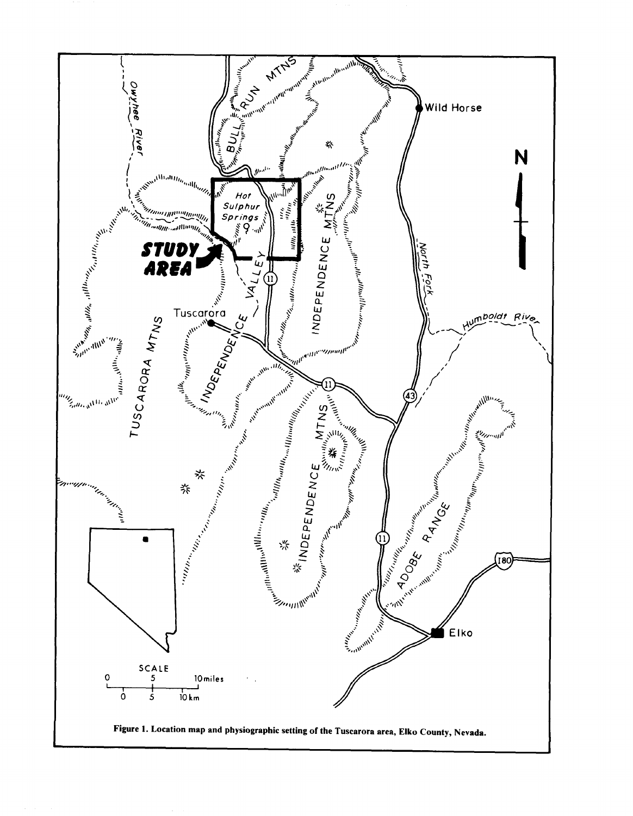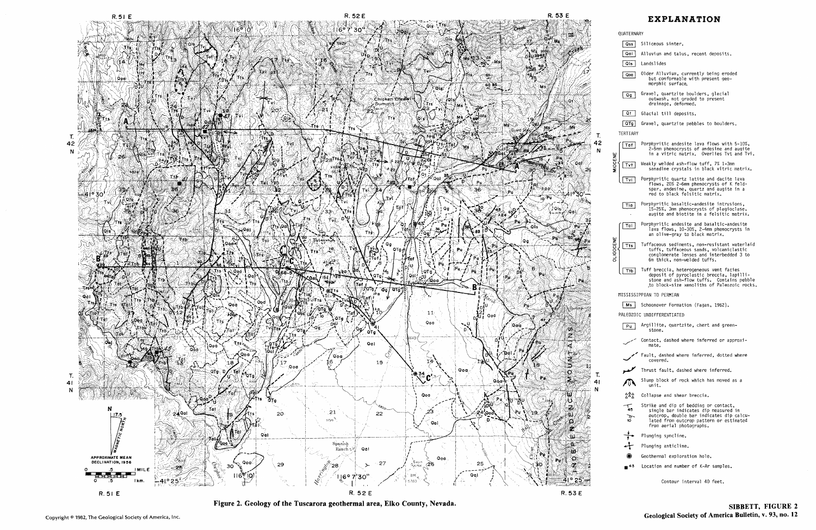

Figure 2. Geology of the **Tuscarora** geothermal area, Elko County, Nevada.

| QUATERNARY                                |                                                                                                                                                                                                  |  |  |  |  |  |  |  |
|-------------------------------------------|--------------------------------------------------------------------------------------------------------------------------------------------------------------------------------------------------|--|--|--|--|--|--|--|
| Qss                                       | Siliceous sinter.                                                                                                                                                                                |  |  |  |  |  |  |  |
| Qal                                       | Alluvium and talus, recent deposits.                                                                                                                                                             |  |  |  |  |  |  |  |
| Qis                                       | Landslides                                                                                                                                                                                       |  |  |  |  |  |  |  |
| Qoa                                       | Older Alluvium, currently being eroded<br>but conformable with present geo-<br>morphic surface,                                                                                                  |  |  |  |  |  |  |  |
| Qg                                        | Gravel, quartzite boulders, glacial<br>outwash, not graded to present<br>drainage, deformed.                                                                                                     |  |  |  |  |  |  |  |
| Qt                                        | Glacial till deposits.                                                                                                                                                                           |  |  |  |  |  |  |  |
| QTg                                       | Gravel, quartzite pebbles to boulders.                                                                                                                                                           |  |  |  |  |  |  |  |
| TERTIARY                                  |                                                                                                                                                                                                  |  |  |  |  |  |  |  |
| Taf                                       | Porphyritic andesite lava flows with 5-10%,<br>2-5mm phenocrysts of andesine and augite<br>in a vitric matrix.  Overlies Tvt and Tvi.                                                            |  |  |  |  |  |  |  |
| Tvt                                       | Weakly welded ash-flow tuff, 7% 1-3mm<br>sanadine crystals in black vitric matrix.                                                                                                               |  |  |  |  |  |  |  |
| Tvi                                       | Porphyritic quartz latite and dacite lava<br>flows, 20% 2-6mm phenocrysts of K feld-<br>spar, andesine, quartz and augite in a<br>red to black felsitic matrix.                                  |  |  |  |  |  |  |  |
| Tia                                       | Porphyritic basaltic-andesite intrusions,<br>15-25%, 3mm phenocrysts of plagioclase,<br>augite and biotite in a felsitic matrix.                                                                 |  |  |  |  |  |  |  |
| Tal                                       | Porphyritic andesite and basaltic-andesite<br>lava flows, 10-30%, 2-4mm phenocrysts in<br>an olive-gray to black matrix.                                                                         |  |  |  |  |  |  |  |
| <b>ALIDOCEN</b><br>Tts                    | Tuffaceous sediments, non-resistant waterlaid<br>tuffs, tuffaceous sands, volcaniclastic<br>conglomerate lenses and interbedded 3 to<br>6m thick, non-welded tuffs.                              |  |  |  |  |  |  |  |
| Ttb                                       | Tuff breccia, heterogeneous vent facies<br>deposit of pyroclastic breccia, lapilli-<br>stone and ash-flow tuffs. Contains pebble<br>to block-size xenoliths of Paleozoic rocks.                  |  |  |  |  |  |  |  |
| MISSISSIPPIAN TO PERMIAN                  |                                                                                                                                                                                                  |  |  |  |  |  |  |  |
| Schoonover Formation (Fagan, 1962).<br>Ms |                                                                                                                                                                                                  |  |  |  |  |  |  |  |
|                                           | PALEOZOIC UNDIFFERENTIATED                                                                                                                                                                       |  |  |  |  |  |  |  |
| Pu                                        | Argillite, quartzite, chert and green-<br>stone.                                                                                                                                                 |  |  |  |  |  |  |  |
|                                           | Contact, dashed where inferred or approxi-<br>mate.                                                                                                                                              |  |  |  |  |  |  |  |
|                                           | Fault, dashed where inferred, dotted where<br>covered.                                                                                                                                           |  |  |  |  |  |  |  |
|                                           | Thrust fault, dashed where inferred.                                                                                                                                                             |  |  |  |  |  |  |  |
|                                           | Slump block of rock which has moved as a<br>unit.                                                                                                                                                |  |  |  |  |  |  |  |
| 222                                       | Collapse and shear breccia.                                                                                                                                                                      |  |  |  |  |  |  |  |
| $\frac{1}{10}$                            | Strike and dip of bedding or contact,<br>single bar indicates dip measured in<br>outcrop, double bar indicates dip calcu-<br>lated from outcrop pattern or estimated<br>from aerial photographs. |  |  |  |  |  |  |  |
|                                           | Plunging syncline.                                                                                                                                                                               |  |  |  |  |  |  |  |
|                                           | Plunging anticline.                                                                                                                                                                              |  |  |  |  |  |  |  |
|                                           | Geothermal exploration hole.                                                                                                                                                                     |  |  |  |  |  |  |  |
| ■ 43                                      | Location and number of K-Ar samples.                                                                                                                                                             |  |  |  |  |  |  |  |
|                                           | Contour interval 40 feet.                                                                                                                                                                        |  |  |  |  |  |  |  |

# **EXPLANATION**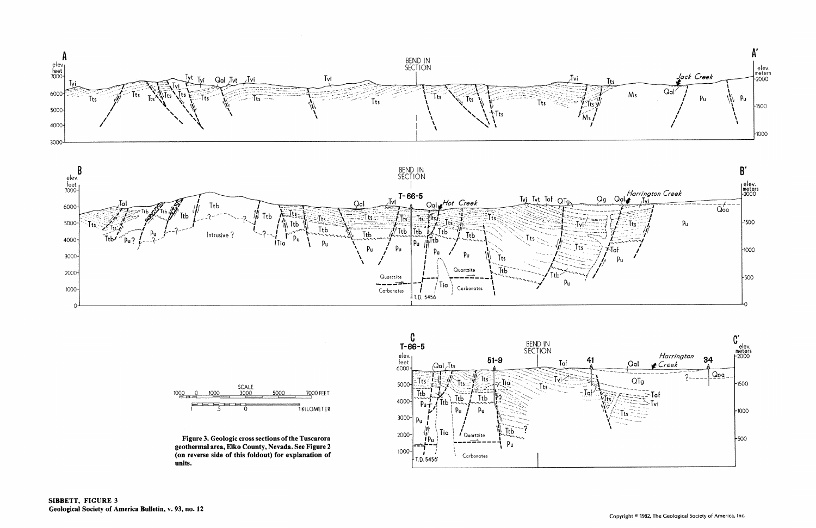





Figure 3. Geologic cross sections of the Tuscarora geothermal area, Elko County, Nevada. See Figure 2 (on reverse side of this foldout) for explanation of units.

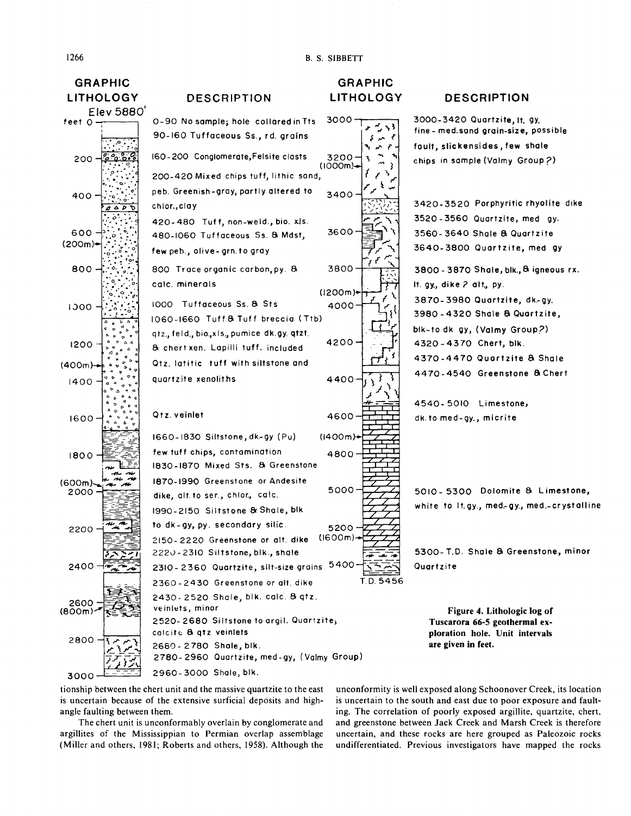**B. S. SIBBETT** 



# **DESCRIPTION**

3000-3420 Quartzite, It. 9y. fine - med.sand grain-size, possible fault, slickensides, few shale chips in sample (Valmy Group?) 3420-3520 Porphyritic rhyolite dike 3520-3560 Quartzite, med gy. 3560-3640 Shale & Quartzite 3640-3800 Quartzite, med gy 3800 - 3870 Shale, blk., & igneous rx. It. gy., dike 2 alt., py. 3870-3980 Quartzite, dk-gy. 3980-4320 Shale & Quartzite, blk-to dk gy, (Valmy Group?) 4320-4370 Chert, blk. 4370-4470 Quartzite & Shale 4470-4540 Greenstone & Chert 4540-5010 Limestone, dk. to med-gy., micrite

5010 - 5300 Dolomite & Limestone, white to It.gy., med.gy., med.-crystalline

5300-T.D. Shale & Greenstone, minor Quartzite

Figure 4. Lithologic log of Tuscarora 66-5 geothermal exploration hole. Unit intervals are given in feet.

tionship between the chert unit and the massive quartzite to the east is uncertain because of the extensive surficial deposits and highangle faulting between them.

The chert unit is unconformably overlain by conglomerate and argillites of the Mississippian to Permian overlap assemblage (Miller and others, 1981; Roberts and others, 1958). Although the

unconformity is well exposed along Schoonover Creek, its location is uncertain to the south and east due to poor exposure and faulting. The correlation of poorly exposed argillite, quartzite, chert, and greenstone between Jack Creek and Marsh Creek is therefore uncertain, and these rocks are here grouped as Paleozoic rocks undifferentiated. Previous investigators have mapped the rocks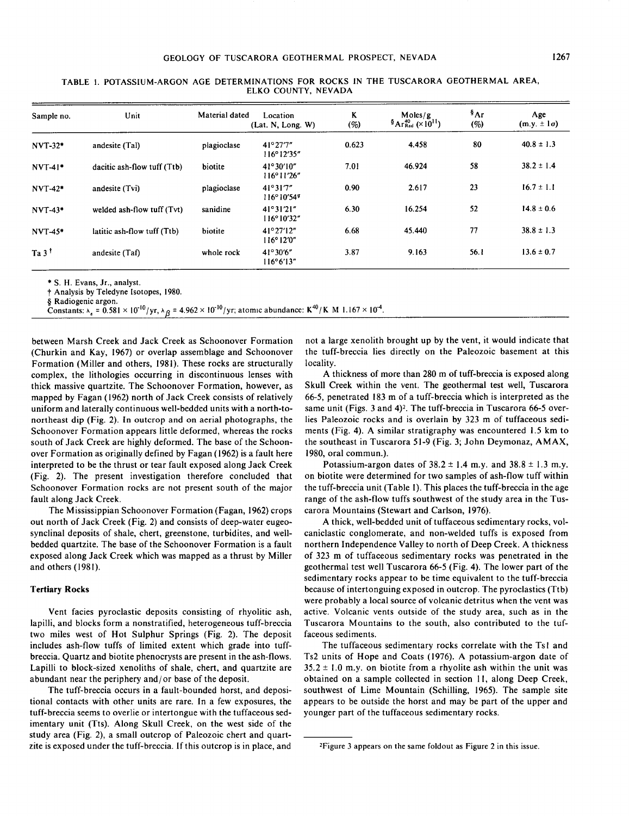| Sample no.       | Unit                        | Material dated | Location<br>(Lat. N, Long. W)              | K<br>(%) | Moles/g<br>$\delta$ Ar <sup>40</sup> <sub>Rad</sub> (×10 <sup>11</sup> ) | $\mathbf{A}$ r<br>(%) | Age<br>$(m.y. \pm 1\sigma)$ |
|------------------|-----------------------------|----------------|--------------------------------------------|----------|--------------------------------------------------------------------------|-----------------------|-----------------------------|
| $NVT-32*$        | andesite (Tal)              | plagioclase    | 41°27'7"<br>$116^{\circ}12'35''$           | 0.623    | 4.458                                                                    | 80                    | $40.8 \pm 1.3$              |
| $NVT-4!$         | dacitic ash-flow tuff (Ttb) | biotite        | $41^{\circ}30'10''$<br>116°11'26"          | 7.01     | 46.924                                                                   | 58                    | $38.2 \pm 1.4$              |
| <b>NVT-42*</b>   | andesite (Tvi)              | plagioclase    | 41°31'7''<br>$116^{\circ}10'54''$          | 0.90     | 2.617                                                                    | 23                    | $16.7 \pm 1.1$              |
| $NVT-43*$        | welded ash-flow tuff (Tvt)  | sanidine       | 41°31'21"<br>$116^{\circ}10'32''$          | 6.30     | 16.254                                                                   | 52                    | $14.8 \pm 0.6$              |
| <b>NVT-45*</b>   | latitic ash-flow tuff (Ttb) | biotite        | $41^{\circ}27'12''$<br>$116^{\circ}12'0''$ | 6.68     | 45.440                                                                   | 77                    | $38.8 \pm 1.3$              |
| $Ta 3^{\dagger}$ | andesite (Taf)              | whole rock     | $41^{\circ}30'6''$<br>116°6'13"            | 3.87     | 9.163                                                                    | 56.1                  | $13.6 \pm 0.7$              |

TABLE 1. POTASSIUM-ARGON AGE DETERMINATIONS FOR ROCKS IN THE TUSCARORA GEOTHERMAL AREA, ELKO COUNTY, NEVADA

\* S. H. Evans, Jr., analyst,

t Analysis by Teledyne Isotopes, 1980.

§ Radiogenic argon.

Constants:  $\lambda_{\epsilon} = 0.581 \times 10^{-10}/yr$ ,  $\lambda_{\beta} = 4.962 \times 10^{-10}/yr$ ; atomic abundance: K<sup>40</sup>/K M 1.167 × 10<sup>-4</sup>.

between Marsh Creek and Jack Creek as Schoonover Formation (Churkin and Kay, 1967) or overlap assemblage and Schoonover Formation (Miller and others, 1981). These rocks are structurally complex, the lithologies occurring in discontinuous lenses with thick massive quartzite. The Schoonover Formation, however, as mapped by Fagan (1962) north of Jack Creek consists of relatively uniform and laterally continuous well-bedded units with a north-tonortheast dip (Fig. 2). In outcrop and on aerial photographs, the Schoonover Formation appears little deformed, whereas the rocks south of Jack Creek are highly deformed. The base of the Schoonover Formation as originally defined by Fagan (1962) is a fault here interpreted to be the thrust or tear fault exposed along Jack Creek (Fig. 2). The present investigation therefore concluded that Schoonover Formation rocks are not present south of the major fault along Jack Creek.

The Mississippian Schoonover Formation (Fagan, 1962) crops out north of Jack Creek (Fig. 2) and consists of deep-water eugeosynclinal deposits of shale, chert, greenstone, turbidites, and wellbedded quartzite. The base of the Schoonover Formation is a fault exposed along Jack Creek which was mapped as a thrust by Miller and others (1981).

#### **Tertiary Rocks**

Vent facies pyroclastic deposits consisting of rhyolitic ash, lapilli, and blocks form a nonstratified, heterogeneous tuff-breccia two miles west of Hot Sulphur Springs (Fig. 2). The deposit includes ash-flow tuffs of limited extent which grade into tuffbreccia. Quartz and biotite phenocrysts are present in the ash-flows. Lapilli to block-sized xenoliths of shale, chert, and quartzite are abundant near the periphery and/or base of the deposit.

The tuff-breccia occurs in a fault-bounded horst, and depositional contacts with other units are rare. In a few exposures, the tuff-breccia seems to overlie or intertongue with the tuffaceous sedimentary unit (Tts). Along Skull Creek, on the west side of the study area (Fig. 2), a small outcrop of Paleozoic chert and quartzite is exposed under the tuff-breccia. If this outcrop is in place, and not a large xenolith brought up by the vent, it would indicate that the tuff-breccia lies directly on the Paleozoic basement at this locality.

A thickness of more than 280 m of tuff-breccia is exposed along Skull Creek within the vent. The geothermal test well, Tuscarora 66-5, penetrated 183 m of a tuff-breccia which is interpreted as the same unit (Figs. 3 and 4)<sup>2</sup>. The tuff-breccia in Tuscarora 66-5 overlies Paleozoic rocks and is overlain by 323 m of tuffaceous sediments (Fig. 4). A similar stratigraphy was encountered 1.5 km to the southeast in Tuscarora 51-9 (Fig. 3; John Deymonaz, AM AX, 1980, oral commun.).

Potassium-argon dates of  $38.2 \pm 1.4$  m.y. and  $38.8 \pm 1.3$  m.y. on biotite were determined for two samples of ash-flow tuff within the tuff-breccia unit (Table I). This places the tuff-breccia in the age range of the ash-flow tuffs southwest of the study area in the Tuscarora Mountains (Stewart and Carlson, 1976).

A thick, well-bedded unit of tuffaceous sedimentary rocks, volcaniclastic conglomerate, and non-welded tuffs is exposed from northern Independence Valley to north of Deep Creek. A thickness of 323 m of tuffaceous sedimentary rocks was penetrated in the geothermal test well Tuscarora 66-5 (Fig. 4). The lower part of the sedimentary rocks appear to be time equivalent to the tuff-breccia because of intertonguing exposed in outcrop. The pyroclastics (Ttb) were probably a local source of volcanic detritus when the vent was active. Volcanic vents outside of the study area, such as in the Tuscarora Mountains to the south, also contributed to the tuffaceous sediments.

The tuffaceous sedimentary rocks correlate with the Tsl and Ts2 units of Hope and Coats (1976). A potassium-argon date of  $35.2 \pm 1.0$  m.y. on biotite from a rhyolite ash within the unit was obtained on a sample collected in section 11, along Deep Creek, southwest of Lime Mountain (Schilling, 1965). The sample site appears to be outside the horst and may be part of the upper and younger part of the tuffaceous sedimentary rocks.

<sup>2</sup> Figure 3 appears on the same foldout as Figure 2 in this issue.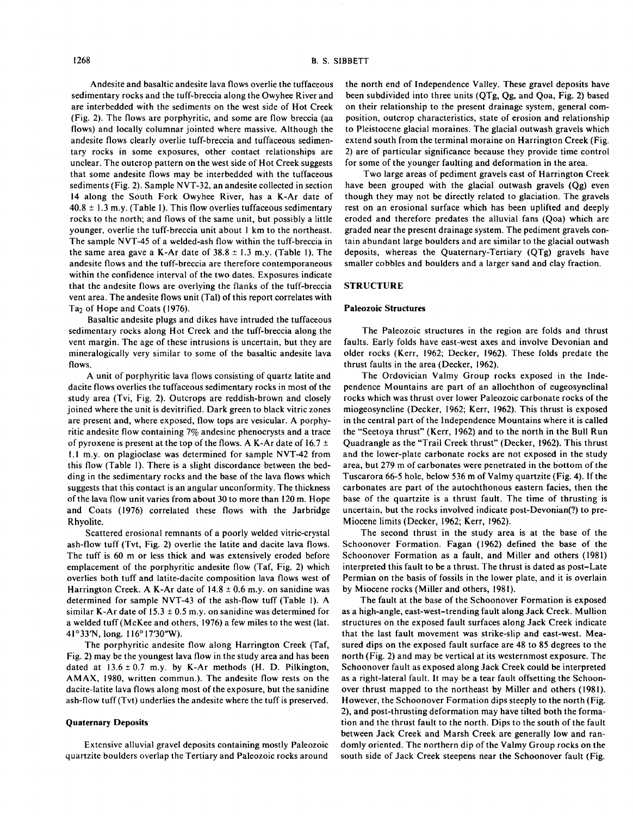Andesite and basaltic andesite lava flows overlie the tuffaceous sedimentary rocks and the tuff-breccia along the Owyhee River and are interbedded with the sediments on the west side of Hot Creek (Fig. 2). The flows are porphyritic, and some are flow breccia (aa flows) and locally columnar jointed where massive. Although the andesite flows clearly overlie tuff-breccia and tuffaceous sedimentary rocks in some exposures, other contact relationships are unclear. The outcrop pattern on the west side of Hot Creek suggests that some andesite flows may be interbedded with the tuffaceous sediments (Fig. 2). Sample NVT-32, an andesite collected in section 14 along the South Fork Owyhee River, has a K-Ar date of  $40.8 \pm 1.3$  m.y. (Table 1). This flow overlies tuffaceous sedimentary rocks to the north; and flows of the same unit, but possibly a little younger, overlie the tuff-breccia unit about 1 km to the northeast. The sample NVT-45 of a welded-ash flow within the tuff-breccia in the same area gave a K-Ar date of  $38.8 \pm 1.3$  m.y. (Table 1). The andesite flows and the tuff-breccia are therefore contemporaneous within the confidence interval of the two dates. Exposures indicate that the andesite flows are overlying the flanks of the tuff-breccia vent area. The andesite flows unit (Tal) of this report correlates with Ta<sub>2</sub> of Hope and Coats (1976).

Basaltic andesite plugs and dikes have intruded the tuffaceous sedimentary rocks along Hot Creek and the tuff-breccia along the vent margin. The age of these intrusions is uncertain, but they are mineralogically very similar to some of the basaltic andesite lava flows.

A unit of porphyritic lava flows consisting of quartz latite and dacite flows overlies the tuffaceous sedimentary rocks in most of the study area (Tvi, Fig. 2). Outcrops are reddish-brown and closely joined where the unit is devitrified. Dark green to black vitric zones are present and, where exposed, flow tops are vesicular. A porphyritic andesite flow containing 7% andesine phenocrysts and a trace of pyroxene is present at the top of the flows. A K-Ar date of 16.7  $\pm$ 1.1 m.y. on plagioclase was determined for sample NVT-42 from this flow (Table 1). There is a slight discordance between the bedding in the sedimentary rocks and the base of the lava flows which suggests that this contact is an angular unconformity. The thickness of the lava flow unit varies from about 30 to more than 120 m. Hope and Coats (1976) correlated these flows with the Jarbridge Rhyolite.

Scattered erosional remnants of a poorly welded vitric-crystal ash-flow tuff (Tvt, Fig. 2) overlie the latite and dacite lava flows. The tuff is 60 m or less thick and was extensively eroded before emplacement of the porphyritic andesite flow (Taf, Fig. 2) which overlies both tuff and latite-dacite composition lava flows west of Harrington Creek. A K-Ar date of  $14.8 \pm 0.6$  m.y. on sanidine was determined for sample NVT-43 of the ash-flow tuff (Table 1). A similar K-Ar date of  $15.3 \pm 0.5$  m.y. on sanidine was determined for a welded tuff (McKee and others, 1976) a few miles to the west (lat. 41°33'N, long. 116° 17'30"W).

The porphyritic andesite flow along Harrington Creek (Taf, Fig. 2) may be the youngest lava flow in the study area and has been dated at  $13.6 \pm 0.7$  m.y. by K-Ar methods (H. D. Pilkington, AMAX, 1980, written commun.). The andesite flow rests on the dacite-latite lava flows along most of the exposure, but the sanidine ash-flow tuff (Tvt) underlies the andesite where the tuff is preserved.

#### **Quaternary Deposits**

Extensive alluvial gravel deposits containing mostly Paleozoic quartzite boulders overlap the Tertiary and Paleozoic rocks around

the north end of Independence Valley. These gravel deposits have been subdivided into three units (QTg, Qg, and Qoa, Fig. 2) based on their relationship to the present drainage system, general composition, outcrop characteristics, state of erosion and relationship to Pleistocene glacial moraines. The glacial outwash gravels which extend south from the terminal moraine on Harrington Creek (Fig. 2) are of particular significance because they provide time control for some of the younger faulting and deformation in the area.

Two large areas of pediment gravels east of Harrington Creek have been grouped with the glacial outwash gravels (Qg) even though they may not be directly related to glaciation. The gravels rest on an erosional surface which has been uplifted and deeply eroded and therefore predates the alluvial fans (Qoa) which are graded near the present drainage system. The pediment gravels contain abundant large boulders and are similar to the glacial outwash deposits, whereas the Quaternary-Tertiary (QTg) gravels have smaller cobbles and boulders and a larger sand and clay fraction.

## **STRUCTURE**

#### **Paleozoic Structures**

The Paleozoic structures in the region are folds and thrust faults. Early folds have east-west axes and involve Devonian and older rocks (Kerr, 1962; Decker, 1962). These folds predate the thrust faults in the area (Decker, 1962).

The Ordovician Valmy Group rocks exposed in the Independence Mountains are part of an allochthon of eugeosynclinal rocks which was thrust over lower Paleozoic carbonate rocks of the miogeosyncline (Decker, 1962; Kerr, 1962). This thrust is exposed in the central part of the Independence Mountains where it is called the "Seetoya thrust" (Kerr, 1962) and to the north in the Bull Run Quadrangle as the "Trail Creek thrust" (Decker, 1962). This thrust and the lower-plate carbonate rocks are not exposed in the study area, but 279 m of carbonates were penetrated in the bottom of the Tuscarora 66-5 hole, below 536 m of Valmy quartzite (Fig. 4). If the carbonates are part of the autochthonous eastern facies, then the base of the quartzite is a thrust fault. The time of thrusting is uncertain, but the rocks involved indicate post-Devonian(?) to pre-Miocene limits (Decker, 1962; Kerr, 1962).

The second thrust in the study area is at the base of the Schoonover Formation. Fagan (1962) defined the base of the Schoonover Formation as a fault, and Miller and others (1981) interpreted this fault to be a thrust. The thrust is dated as post-Late Permian on the basis of fossils in the lower plate, and it is overlain by Miocene rocks (Miller and others, 1981).

The fault at the base of the Schoonover Formation is exposed as a high-angle, east-west-trending fault along Jack Creek. Mullion structures on the exposed fault surfaces along Jack Creek indicate that the last fault movement was strike-slip and east-west. Measured dips on the exposed fault surface are 48 to 85 degrees to the north (Fig. 2) and may be vertical at its westernmost exposure. The Schoonover fault as exposed along Jack Creek could be interpreted as a right-lateral fault. It may be a tear fault offsetting the Schoonover thrust mapped to the northeast by Miller and others (1981). However, the Schoonover Formation dips steeply to the north (Fig. 2), and post-thrusting deformation may have tilted both the formation and the thrust fault to the north. Dips to the south of the fault between Jack Creek and Marsh Creek are generally low and randomly oriented. The northern dip of the Valmy Group rocks on the south side of Jack Creek steepens near the Schoonover fault (Fig.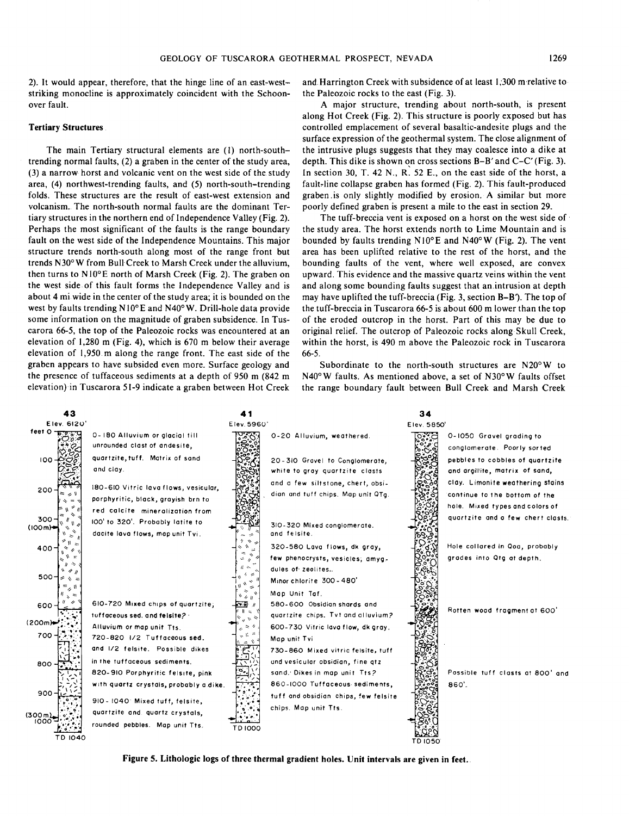2). It would appear, therefore, that the hinge line of an east-weststriking monocline is approximately coincident with the Schoonover fault.

#### **Tertiary Structures**

The main Tertiary structural elements are (1) north-southtrending normal faults, (2) a graben in the center of the study area, (3) a narrow horst and volcanic vent on the west side of the study area, (4) northwest-trending faults, and (5) north-south-trending folds. These structures are the result of east-west extension and volcanism. The north-south normal faults are the dominant Tertiary structures in the northern end of Independence Valley (Fig. 2). Perhaps the most significant of the faults is the range boundary fault on the west side of the Independence Mountains. This major structure trends north-south along most of the range front but trends N30° W from Bull Creek to Marsh Creek under the alluvium, then turns to N10°E north of Marsh Creek (Fig. 2). The graben on the west side of this fault forms the Independence Valley and is about 4 mi wide in the center of the study area; it is bounded on the west by faults trending N10° E and N40°W. Drill-hole data provide some information on the magnitude of graben subsidence. In Tuscarora 66-5, the top of the Paleozoic rocks was encountered at an elevation of 1,280 m (Fig. 4), which is 670 m below their average elevation of 1,950 m along the range front. The east side of the graben appears to have subsided even more. Surface geology and the presence of tuffaceous sediments at a depth of 950 m (842 m elevation) in Tuscarora 51-9 indicate a graben between Hot Creek

and Harrington Creek with subsidence of at least 1,300 m relative to the Paleozoic rocks to the east (Fig. 3).

A major structure, trending about north-south, is present along Hot Creek (Fig. 2). This structure is poorly exposed but has controlled emplacement of several basaltic-andesite plugs and the surface expression of the geothermal system. The close alignment of the intrusive plugs suggests that they may coalesce into a dike at depth. This dike is shown on cross sections B-B' and C-C' (Fig. 3). In section 30, T. 42 N., R. 52 E., on the east side of the horst, a fault-line collapse graben has formed (Fig. 2). This fault-produced graben.is only slightly modified by erosion. A similar but more poorly defined graben is present a mile to the east in section 29.

The tuff-breccia vent is exposed on a horst on the west side of the study area. The horst extends north to Lime Mountain and is bounded by faults trending N10°E and N40°W (Fig. 2). The vent area has been uplifted relative to the rest of the horst, and the bounding faults of the vent, where well exposed, are convex upward. This evidence and the massive quartz veins within the vent and along some bounding faults suggest that an intrusion at depth may have uplifted the tuff-breccia (Fig. 3, section B-B'). The top of the tuff-breccia in Tuscarora 66-5 is about 600 m lower than the top of the eroded outcrop in the horst. Part of this may be due to original relief. The outcrop of Paleozoic rocks along Skull Creek, within the horst, is 490 m above the Paleozoic rock in Tuscarora 66-5.

Subordinate to the north-south structures are N20°W to N40°W faults. As mentioned above, a set of N30°W faults offset the range boundary fault between Bull Creek and Marsh Creek



**Figure S. Lithologie logs of three thermal gradient holes. Unit intervals are given in feet..**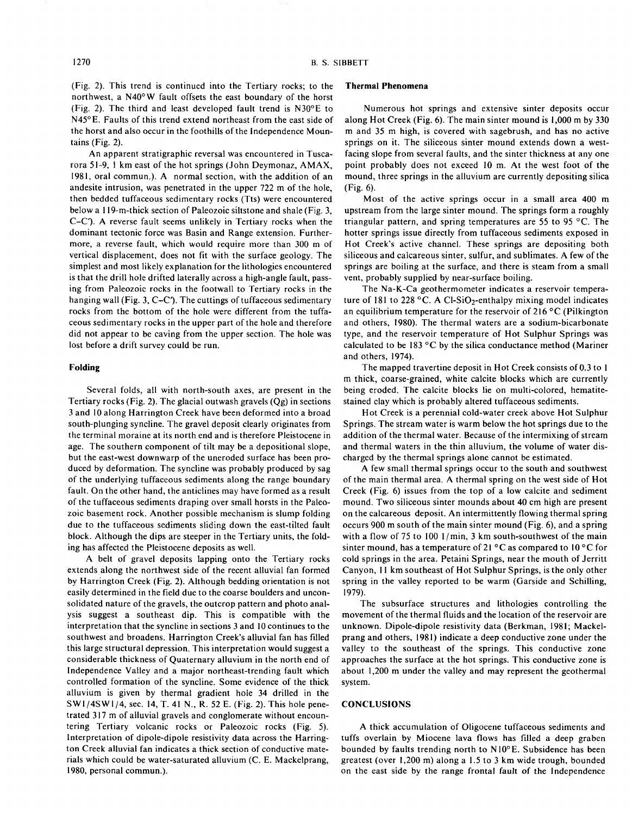(Fig. 2). This trend is continued into the Tertiary rocks; to the northwest, a N40°W fault offsets the east boundary of the horst (Fig. 2). The third and least developed fault trend is N30°E to N45°E. Faults of this trend extend northeast from the east side of the horst and also occur in the foothills of the Independence Mountains (Fig. 2).

An apparent stratigraphic reversal was encountered in Tuscarora 51-9, 1 km east of the hot springs (John Deymonaz, AMAX, 1981, oral commun.). A normal section, with the addition of an andesite intrusion, was penetrated in the upper 722 m of the hole, then bedded tuffaceous sedimentary rocks (Tts) were encountered below a 119-m-thick section of Paleozoic siltstone and shale (Fig. 3, C-C'). A reverse fault seems unlikely in Tertiary rocks when the dominant tectonic force was Basin and Range extension. Furthermore, a reverse fault, which would require more than 300 m of vertical displacement, does not fit with the surface geology. The simplest and most likely explanation for the lithologies encountered is that the drill hole drifted laterally across a high-angle fault, passing from Paleozoic rocks in the footwall to Tertiary rocks in the hanging wall (Fig. 3, C–C). The cuttings of tuffaceous sedimentary rocks from the bottom of the hole were different from the tuffaceous sedimentary rocks in the upper part of the hole and therefore did not appear to be caving from the upper section. The hole was lost before a drift survey could be run.

#### **Folding**

Several folds, all with north-south axes, are present in the Tertiary rocks (Fig. 2). The glacial outwash gravels (Qg) in sections 3 and 10 along Harrington Creek have been deformed into a broad south-plunging syncline. The gravel deposit clearly originates from the terminal moraine at its north end and is therefore Pleistocene in age. The southern component of tilt may be a depositional slope, but the east-west downwarp of the uneroded surface has been produced by deformation. The syncline was probably produced by sag of the underlying tuffaceous sediments along the range boundary fault. On the other hand, the anticlines may have formed as a result of the tuffaceous sediments draping over small horsts in the Paleozoic basement rock. Another possible mechanism is slump folding due to the tuffaceous sediments sliding down the east-tilted fault block. Although the dips are steeper in the Tertiary units, the folding has affected the Pleistocene deposits as well.

A belt of gravel deposits lapping onto the Tertiary rocks extends along the northwest side of the recent alluvial fan formed by Harrington Creek (Fig. 2). Although bedding orientation is not easily determined in the field due to the coarse boulders and unconsolidated nature of the gravels, the outcrop pattern and photo analysis suggest a southeast dip. This is compatible with the interpretation that the syncline in sections 3 and 10 continues to the southwest and broadens. Harrington Creek's alluvial fan has filled this large structural depression. This interpretation would suggest a considerable thickness of Quaternary alluvium in the north end of Independence Valley and a major northeast-trending fault which controlled formation of the syncline. Some evidence of the thick alluvium is given by thermal gradient hole 34 drilled in the  $SW1/4SW1/4$ , sec. 14, T. 41 N., R. 52 E. (Fig. 2). This hole penetrated 317 m of alluvial gravels and conglomerate without encountering Tertiary volcanic rocks or Paleozoic rocks (Fig. 5). Interpretation of dipole-dipole resistivity data across the Harrington Creek alluvial fan indicates a thick section of conductive materials which could be water-saturated alluvium (C. E. Mackelprang, 1980, personal commun.).

# **Thermal Phenomena**

Numerous hot springs and extensive sinter deposits occur along Hot Creek (Fig. 6). The main sinter mound is 1,000 m by 330 m and 35 m high, is covered with sagebrush, and has no active springs on it. The siliceous sinter mound extends down a westfacing slope from several faults, and the sinter thickness at any one point probably does not exceed 10 m. At the west foot of the mound, three springs in the alluvium are currently depositing silica (Fig. 6).

Most of the active springs occur in a small area 400 m upstream from the large sinter mound. The springs form a roughly triangular pattern, and spring temperatures are 55 to 95 °C. The hotter springs issue directly from tuffaceous sediments exposed in Hot Creek's active channel. These springs are depositing both siliceous and calcareous sinter, sulfur, and sublimates. A few of the springs are boiling at the surface, and there is steam from a small vent, probably supplied by near-surface boiling.

The Na-K-Ca geothermometer indicates a reservoir temperature of 181 to 228  $\,^{\circ}$ C. A Cl-SiO<sub>2</sub>-enthalpy mixing model indicates an equilibrium temperature for the reservoir of 216 °C (Pilkington and others, 1980). The thermal waters are a sodium-bicarbonate type, and the reservoir temperature of Hot Sulphur Springs was calculated to be 183  $\degree$ C by the silica conductance method (Mariner and others, 1974).

The mapped travertine deposit in Hot Creek consists of 0.3 to 1 m thick, coarse-grained, white calcite blocks which are currently being eroded. The calcite blocks lie on multi-colored, hematitestained clay which is probably altered tuffaceous sediments.

Hot Creek is a perennial cold-water creek above Hot Sulphur Springs. The stream water is warm below the hot springs due to the addition of the thermal water. Because of the intermixing of stream and thermal waters in the thin alluvium, the volume of water discharged by the thermal springs alone cannot be estimated.

A few small thermal springs occur to the south and southwest of the main thermal area. A thermal spring on the west side of Hot Creek (Fig. 6) issues from the top of a low calcite and sediment mound. Two siliceous sinter mounds about 40 cm high are present on the calcareous deposit. An intermittently flowing thermal spring occurs 900 m south of the main sinter mound (Fig. 6), and a spring with a flow of 75 to 100  $1/\text{min}$ , 3 km south-southwest of the main sinter mound, has a temperature of 21 °C as compared to 10 °C for cold springs in the area. Petaini Springs, near the mouth of Jerritt Canyon, 11 km southeast of Hot Sulphur Springs, is the only other spring in the valley reported to be warm (Garside and Schilling, 1979).

The subsurface structures and lithologies controlling the movement of the thermal fluids and the location of the reservoir are unknown. Dipole-dipole resistivity data (Berkman, 1981; Mackelprang and others, 1981) indicate a deep conductive zone under the valley to the southeast of the springs. This conductive zone approaches the surface at the hot springs. This conductive zone is about 1,200 m under the valley and may represent the geothermal system.

#### **CONCLUSIONS**

A thick accumulation of Oligocene tuffaceous sediments and tuffs overlain by Miocene lava flows has filled a deep graben bounded by faults trending north to N10°E. Subsidence has been greatest (over 1,200 m) along a 1.5 to 3 km wide trough, bounded on the east side by the range frontal fault of the Independence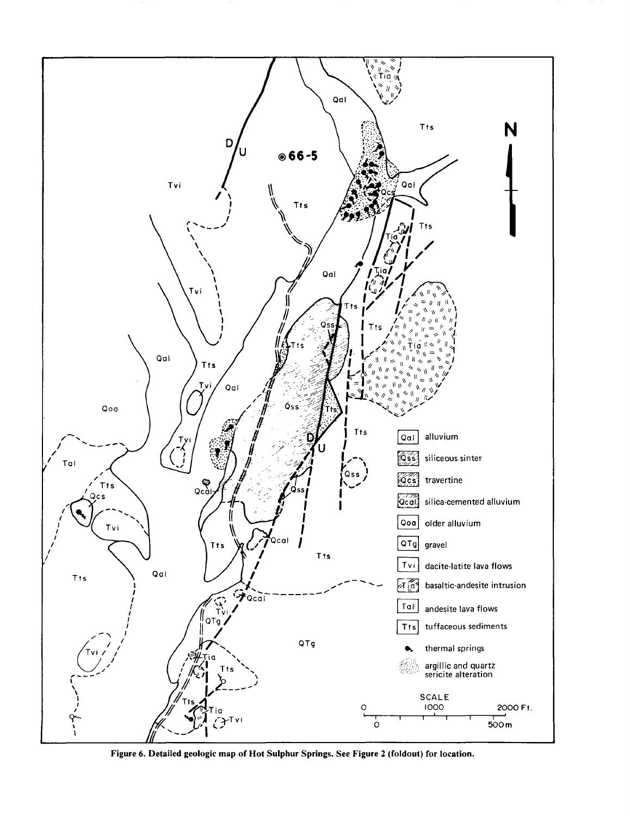

**Figure 6. Detailed geologic map of Hot Sulphur Springs. See Figure 2 (foldout) for location.**